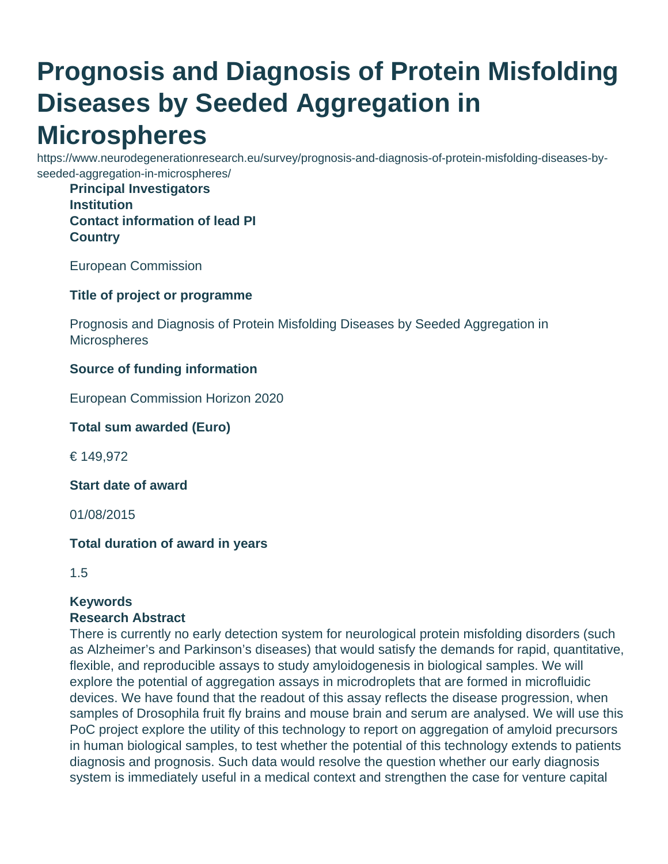# **Prognosis and Diagnosis of Protein Misfolding Diseases by Seeded Aggregation in Microspheres**

https://www.neurodegenerationresearch.eu/survey/prognosis-and-diagnosis-of-protein-misfolding-diseases-byseeded-aggregation-in-microspheres/

**Principal Investigators Institution Contact information of lead PI Country**

European Commission

**Title of project or programme**

Prognosis and Diagnosis of Protein Misfolding Diseases by Seeded Aggregation in **Microspheres** 

### **Source of funding information**

European Commission Horizon 2020

**Total sum awarded (Euro)**

€ 149,972

**Start date of award**

01/08/2015

### **Total duration of award in years**

1.5

## **Keywords**

### **Research Abstract**

There is currently no early detection system for neurological protein misfolding disorders (such as Alzheimer's and Parkinson's diseases) that would satisfy the demands for rapid, quantitative, flexible, and reproducible assays to study amyloidogenesis in biological samples. We will explore the potential of aggregation assays in microdroplets that are formed in microfluidic devices. We have found that the readout of this assay reflects the disease progression, when samples of Drosophila fruit fly brains and mouse brain and serum are analysed. We will use this PoC project explore the utility of this technology to report on aggregation of amyloid precursors in human biological samples, to test whether the potential of this technology extends to patients diagnosis and prognosis. Such data would resolve the question whether our early diagnosis system is immediately useful in a medical context and strengthen the case for venture capital